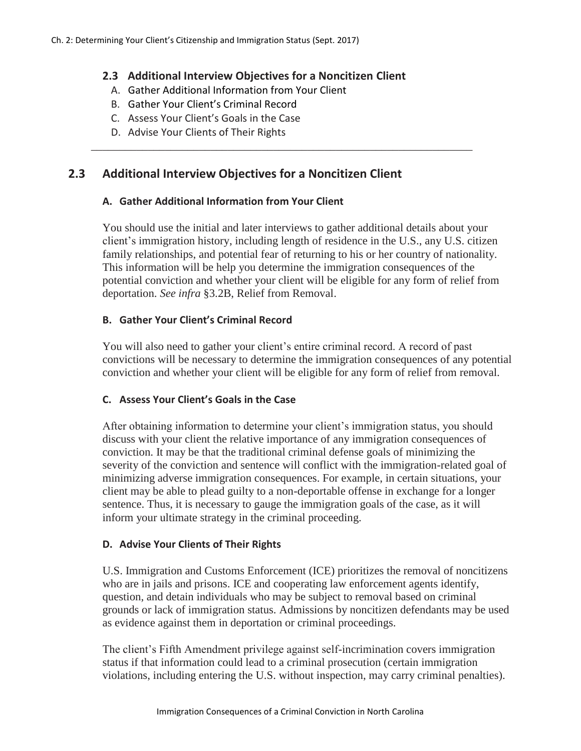## **2.3 Additional Interview Objectives for a Noncitizen Client**

\_\_\_\_\_\_\_\_\_\_\_\_\_\_\_\_\_\_\_\_\_\_\_\_\_\_\_\_\_\_\_\_\_\_\_\_\_\_\_\_\_\_\_\_\_\_\_\_\_\_\_\_\_\_\_\_\_\_\_\_\_\_\_\_\_\_\_

- A. Gather Additional Information from Your Client
- B. Gather Your Client's Criminal Record
- C. Assess Your Client's Goals in the Case
- D. Advise Your Clients of Their Rights

# **2.3 Additional Interview Objectives for a Noncitizen Client**

## **A. Gather Additional Information from Your Client**

You should use the initial and later interviews to gather additional details about your client's immigration history, including length of residence in the U.S., any U.S. citizen family relationships, and potential fear of returning to his or her country of nationality. This information will be help you determine the immigration consequences of the potential conviction and whether your client will be eligible for any form of relief from deportation. *See infra* §3.2B, Relief from Removal.

## **B. Gather Your Client's Criminal Record**

You will also need to gather your client's entire criminal record. A record of past convictions will be necessary to determine the immigration consequences of any potential conviction and whether your client will be eligible for any form of relief from removal.

## **C. Assess Your Client's Goals in the Case**

After obtaining information to determine your client's immigration status, you should discuss with your client the relative importance of any immigration consequences of conviction. It may be that the traditional criminal defense goals of minimizing the severity of the conviction and sentence will conflict with the immigration-related goal of minimizing adverse immigration consequences. For example, in certain situations, your client may be able to plead guilty to a non-deportable offense in exchange for a longer sentence. Thus, it is necessary to gauge the immigration goals of the case, as it will inform your ultimate strategy in the criminal proceeding.

## **D. Advise Your Clients of Their Rights**

U.S. Immigration and Customs Enforcement (ICE) prioritizes the removal of noncitizens who are in jails and prisons. ICE and cooperating law enforcement agents identify, question, and detain individuals who may be subject to removal based on criminal grounds or lack of immigration status. Admissions by noncitizen defendants may be used as evidence against them in deportation or criminal proceedings.

The client's Fifth Amendment privilege against self-incrimination covers immigration status if that information could lead to a criminal prosecution (certain immigration violations, including entering the U.S. without inspection, may carry criminal penalties).